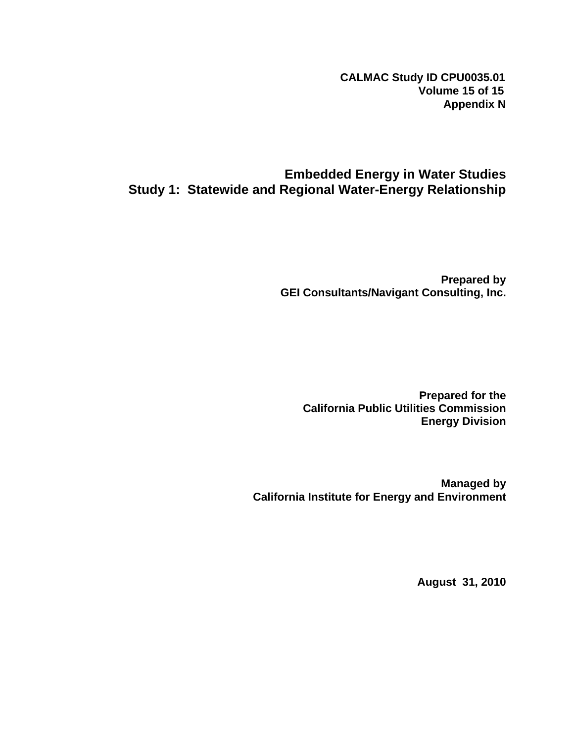**CALMAC Study ID CPU0035.01 Volume 15 of 15 Appendix N**

## **Embedded Energy in Water Studies Study 1: Statewide and Regional Water-Energy Relationship**

**Prepared by GEI Consultants/Navigant Consulting, Inc.** 

**Prepared for the California Public Utilities Commission Energy Division** 

**Managed by California Institute for Energy and Environment** 

**August 31, 2010**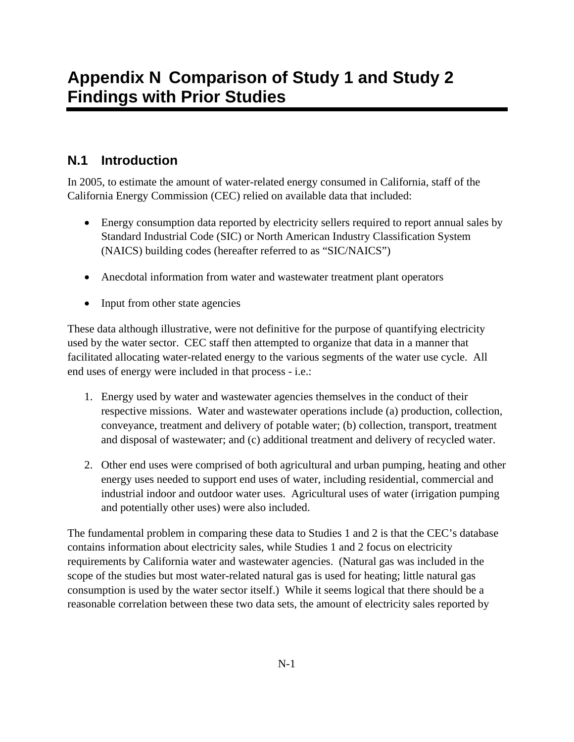# **N.1 Introduction**

In 2005, to estimate the amount of water-related energy consumed in California, staff of the California Energy Commission (CEC) relied on available data that included:

- Energy consumption data reported by electricity sellers required to report annual sales by Standard Industrial Code (SIC) or North American Industry Classification System (NAICS) building codes (hereafter referred to as "SIC/NAICS")
- Anecdotal information from water and wastewater treatment plant operators
- Input from other state agencies

These data although illustrative, were not definitive for the purpose of quantifying electricity used by the water sector. CEC staff then attempted to organize that data in a manner that facilitated allocating water-related energy to the various segments of the water use cycle. All end uses of energy were included in that process - i.e.:

- 1. Energy used by water and wastewater agencies themselves in the conduct of their respective missions. Water and wastewater operations include (a) production, collection, conveyance, treatment and delivery of potable water; (b) collection, transport, treatment and disposal of wastewater; and (c) additional treatment and delivery of recycled water.
- 2. Other end uses were comprised of both agricultural and urban pumping, heating and other energy uses needed to support end uses of water, including residential, commercial and industrial indoor and outdoor water uses. Agricultural uses of water (irrigation pumping and potentially other uses) were also included.

The fundamental problem in comparing these data to Studies 1 and 2 is that the CEC's database contains information about electricity sales, while Studies 1 and 2 focus on electricity requirements by California water and wastewater agencies. (Natural gas was included in the scope of the studies but most water-related natural gas is used for heating; little natural gas consumption is used by the water sector itself.) While it seems logical that there should be a reasonable correlation between these two data sets, the amount of electricity sales reported by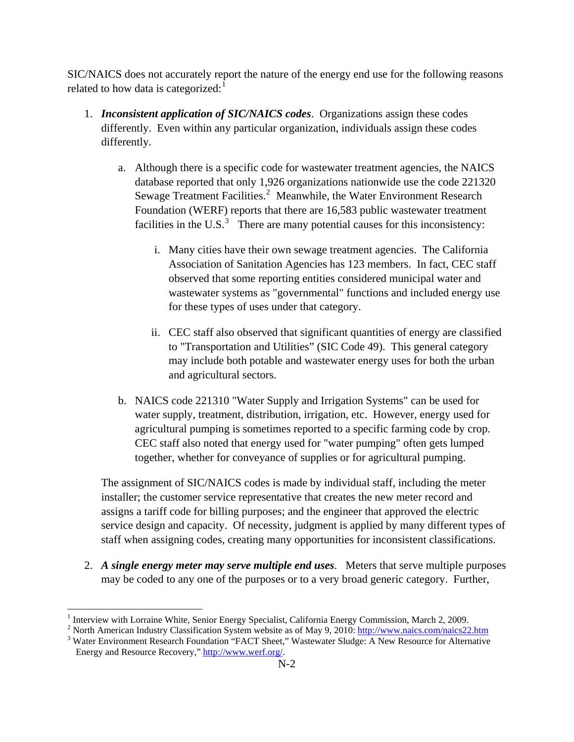SIC/NAICS does not accurately report the nature of the energy end use for the following reasons related to how data is categorized: $<sup>1</sup>$  $<sup>1</sup>$  $<sup>1</sup>$ </sup>

- 1. *Inconsistent application of SIC/NAICS codes*. Organizations assign these codes differently. Even within any particular organization, individuals assign these codes differently.
	- a. Although there is a specific code for wastewater treatment agencies, the NAICS database reported that only 1,926 organizations nationwide use the code 221320 Sewage Treatment Facilities. $^2$  $^2$  Meanwhile, the Water Environment Research Foundation (WERF) reports that there are 16,583 public wastewater treatment facilities in the U.S.<sup>[3](#page-2-2)</sup> There are many potential causes for this inconsistency:
		- i. Many cities have their own sewage treatment agencies. The California Association of Sanitation Agencies has 123 members. In fact, CEC staff observed that some reporting entities considered municipal water and wastewater systems as "governmental" functions and included energy use for these types of uses under that category.
		- ii. CEC staff also observed that significant quantities of energy are classified to "Transportation and Utilities" (SIC Code 49). This general category may include both potable and wastewater energy uses for both the urban and agricultural sectors.
	- b. NAICS code 221310 "Water Supply and Irrigation Systems" can be used for water supply, treatment, distribution, irrigation, etc. However, energy used for agricultural pumping is sometimes reported to a specific farming code by crop. CEC staff also noted that energy used for "water pumping" often gets lumped together, whether for conveyance of supplies or for agricultural pumping.

The assignment of SIC/NAICS codes is made by individual staff, including the meter installer; the customer service representative that creates the new meter record and assigns a tariff code for billing purposes; and the engineer that approved the electric service design and capacity. Of necessity, judgment is applied by many different types of staff when assigning codes, creating many opportunities for inconsistent classifications.

2. *A single energy meter may serve multiple end uses*. Meters that serve multiple purposes may be coded to any one of the purposes or to a very broad generic category. Further,

<sup>&</sup>lt;sup>1</sup> Interview with Lorraine White, Senior Energy Specialist, California Energy Commission, March 2, 2009.

<span id="page-2-2"></span><span id="page-2-1"></span><span id="page-2-0"></span><sup>&</sup>lt;sup>2</sup> North American Industry Classification System website as of May 9, 2010: <http://www.naics.com/naics22.htm> <sup>3</sup> Water Environment Research Foundation "FACT Sheet," Wastewater Sludge: A New Resource for Alternative Energy and Resource Recovery," [http://www.werf.org/.](http://www.werf.org/)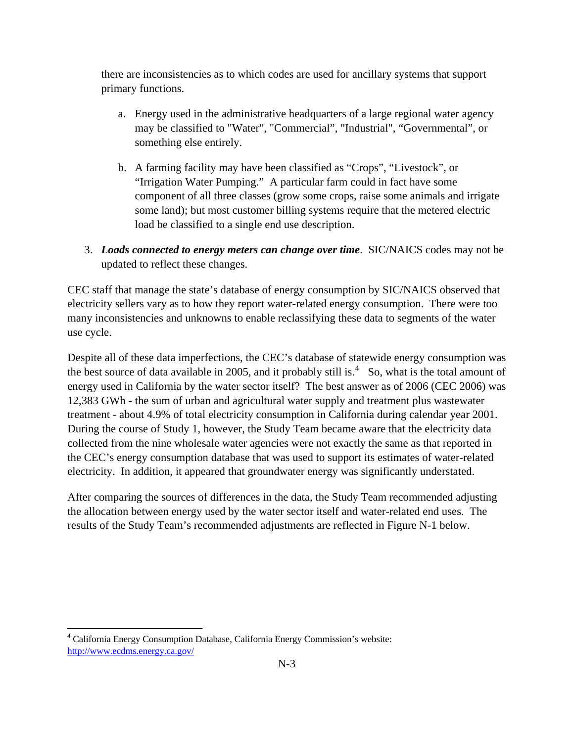there are inconsistencies as to which codes are used for ancillary systems that support primary functions.

- a. Energy used in the administrative headquarters of a large regional water agency may be classified to "Water", "Commercial", "Industrial", "Governmental", or something else entirely.
- b. A farming facility may have been classified as "Crops", "Livestock", or "Irrigation Water Pumping." A particular farm could in fact have some component of all three classes (grow some crops, raise some animals and irrigate some land); but most customer billing systems require that the metered electric load be classified to a single end use description.
- 3. *Loads connected to energy meters can change over time*. SIC/NAICS codes may not be updated to reflect these changes.

CEC staff that manage the state's database of energy consumption by SIC/NAICS observed that electricity sellers vary as to how they report water-related energy consumption. There were too many inconsistencies and unknowns to enable reclassifying these data to segments of the water use cycle.

Despite all of these data imperfections, the CEC's database of statewide energy consumption was the best source of data available in 2005, and it probably still is.<sup>[4](#page-3-0)</sup> So, what is the total amount of energy used in California by the water sector itself? The best answer as of 2006 (CEC 2006) was 12,383 GWh - the sum of urban and agricultural water supply and treatment plus wastewater treatment - about 4.9% of total electricity consumption in California during calendar year 2001. During the course of Study 1, however, the Study Team became aware that the electricity data collected from the nine wholesale water agencies were not exactly the same as that reported in the CEC's energy consumption database that was used to support its estimates of water-related electricity. In addition, it appeared that groundwater energy was significantly understated.

After comparing the sources of differences in the data, the Study Team recommended adjusting the allocation between energy used by the water sector itself and water-related end uses. The results of the Study Team's recommended adjustments are reflected in Figure N-1 below.

 $\overline{a}$ 

<span id="page-3-0"></span><sup>4</sup> California Energy Consumption Database, California Energy Commission's website: <http://www.ecdms.energy.ca.gov/>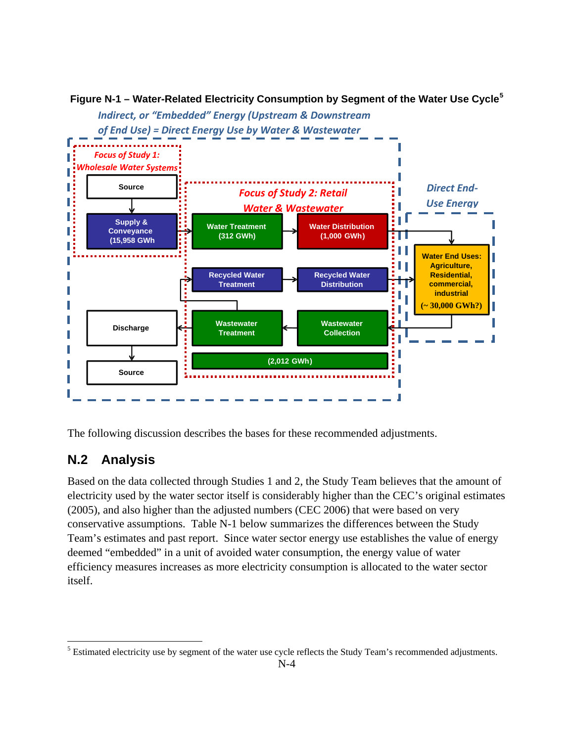

**Figure N-1 – Water-Related Electricity Consumption by Segment of the Water Use Cycle[5](#page-4-0)**

The following discussion describes the bases for these recommended adjustments.

# **N.2 Analysis**

Based on the data collected through Studies 1 and 2, the Study Team believes that the amount of electricity used by the water sector itself is considerably higher than the CEC's original estimates (2005), and also higher than the adjusted numbers (CEC 2006) that were based on very conservative assumptions. Table N-1 below summarizes the differences between the Study Team's estimates and past report. Since water sector energy use establishes the value of energy deemed "embedded" in a unit of avoided water consumption, the energy value of water efficiency measures increases as more electricity consumption is allocated to the water sector itself.

<span id="page-4-0"></span> $\overline{a}$  $<sup>5</sup>$  Estimated electricity use by segment of the water use cycle reflects the Study Team's recommended adjustments.</sup>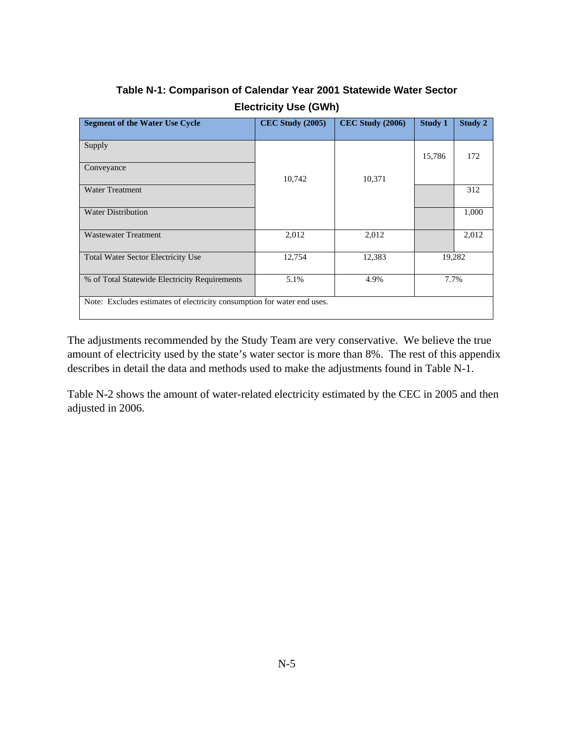| <b>Segment of the Water Use Cycle</b>                                   | <b>CEC Study (2005)</b> | <b>CEC Study (2006)</b> | <b>Study 1</b> | Study 2 |  |  |  |
|-------------------------------------------------------------------------|-------------------------|-------------------------|----------------|---------|--|--|--|
| Supply                                                                  |                         |                         | 15,786         | 172     |  |  |  |
| Conveyance                                                              | 10,742                  | 10,371                  |                |         |  |  |  |
| <b>Water Treatment</b>                                                  |                         |                         |                | 312     |  |  |  |
| <b>Water Distribution</b>                                               |                         |                         |                | 1,000   |  |  |  |
| <b>Wastewater Treatment</b>                                             | 2,012                   | 2,012                   |                | 2,012   |  |  |  |
| <b>Total Water Sector Electricity Use</b>                               | 12,754                  | 12,383                  | 19,282         |         |  |  |  |
| % of Total Statewide Electricity Requirements                           | 5.1%                    | 4.9%                    | 7.7%           |         |  |  |  |
| Note: Excludes estimates of electricity consumption for water end uses. |                         |                         |                |         |  |  |  |

## **Table N-1: Comparison of Calendar Year 2001 Statewide Water Sector Electricity Use (GWh)**

The adjustments recommended by the Study Team are very conservative. We believe the true amount of electricity used by the state's water sector is more than 8%. The rest of this appendix describes in detail the data and methods used to make the adjustments found in Table N-1.

Table N-2 shows the amount of water-related electricity estimated by the CEC in 2005 and then adjusted in 2006.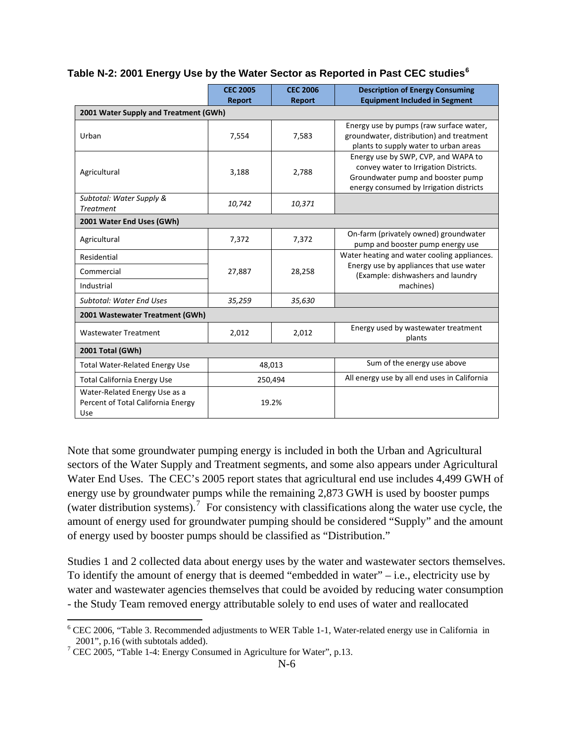#### **Table N-2: 2001 Energy Use by the Water Sector as Reported in Past CEC studies[6](#page-6-0)**

|                                                                            | <b>CEC 2005</b><br><b>Report</b> | <b>CEC 2006</b><br><b>Report</b> | <b>Description of Energy Consuming</b><br><b>Equipment Included in Segment</b>                                                                               |  |  |  |
|----------------------------------------------------------------------------|----------------------------------|----------------------------------|--------------------------------------------------------------------------------------------------------------------------------------------------------------|--|--|--|
| 2001 Water Supply and Treatment (GWh)                                      |                                  |                                  |                                                                                                                                                              |  |  |  |
| Urban                                                                      | 7,554                            | 7,583                            | Energy use by pumps (raw surface water,<br>groundwater, distribution) and treatment<br>plants to supply water to urban areas                                 |  |  |  |
| Agricultural                                                               | 3,188                            | 2,788                            | Energy use by SWP, CVP, and WAPA to<br>convey water to Irrigation Districts.<br>Groundwater pump and booster pump<br>energy consumed by Irrigation districts |  |  |  |
| Subtotal: Water Supply &<br><b>Treatment</b>                               | 10,742                           | 10,371                           |                                                                                                                                                              |  |  |  |
| 2001 Water End Uses (GWh)                                                  |                                  |                                  |                                                                                                                                                              |  |  |  |
| Agricultural                                                               | 7,372                            | 7,372                            | On-farm (privately owned) groundwater<br>pump and booster pump energy use                                                                                    |  |  |  |
| Residential<br>Commercial<br>Industrial                                    | 27,887                           | 28,258                           | Water heating and water cooling appliances.<br>Energy use by appliances that use water<br>(Example: dishwashers and laundry<br>machines)                     |  |  |  |
| <b>Subtotal: Water End Uses</b>                                            | 35,259                           | 35,630                           |                                                                                                                                                              |  |  |  |
| 2001 Wastewater Treatment (GWh)                                            |                                  |                                  |                                                                                                                                                              |  |  |  |
| <b>Wastewater Treatment</b>                                                | 2,012                            | 2,012                            | Energy used by wastewater treatment<br>plants                                                                                                                |  |  |  |
| 2001 Total (GWh)                                                           |                                  |                                  |                                                                                                                                                              |  |  |  |
| <b>Total Water-Related Energy Use</b>                                      | 48,013                           |                                  | Sum of the energy use above                                                                                                                                  |  |  |  |
| <b>Total California Energy Use</b>                                         | 250,494                          |                                  | All energy use by all end uses in California                                                                                                                 |  |  |  |
| Water-Related Energy Use as a<br>Percent of Total California Energy<br>Use | 19.2%                            |                                  |                                                                                                                                                              |  |  |  |

Note that some groundwater pumping energy is included in both the Urban and Agricultural sectors of the Water Supply and Treatment segments, and some also appears under Agricultural Water End Uses. The CEC's 2005 report states that agricultural end use includes 4,499 GWH of energy use by groundwater pumps while the remaining 2,873 GWH is used by booster pumps (water distribution systems).<sup>[7](#page-6-1)</sup> For consistency with classifications along the water use cycle, the amount of energy used for groundwater pumping should be considered "Supply" and the amount of energy used by booster pumps should be classified as "Distribution."

Studies 1 and 2 collected data about energy uses by the water and wastewater sectors themselves. To identify the amount of energy that is deemed "embedded in water" – i.e., electricity use by water and wastewater agencies themselves that could be avoided by reducing water consumption - the Study Team removed energy attributable solely to end uses of water and reallocated

1

<span id="page-6-0"></span> $6$  CEC 2006, "Table 3. Recommended adjustments to WER Table 1-1, Water-related energy use in California in  $2001$ ", p.16 (with subtotals added).

<span id="page-6-1"></span><sup>&</sup>lt;sup>7</sup> CEC 2005, "Table 1-4: Energy Consumed in Agriculture for Water", p.13.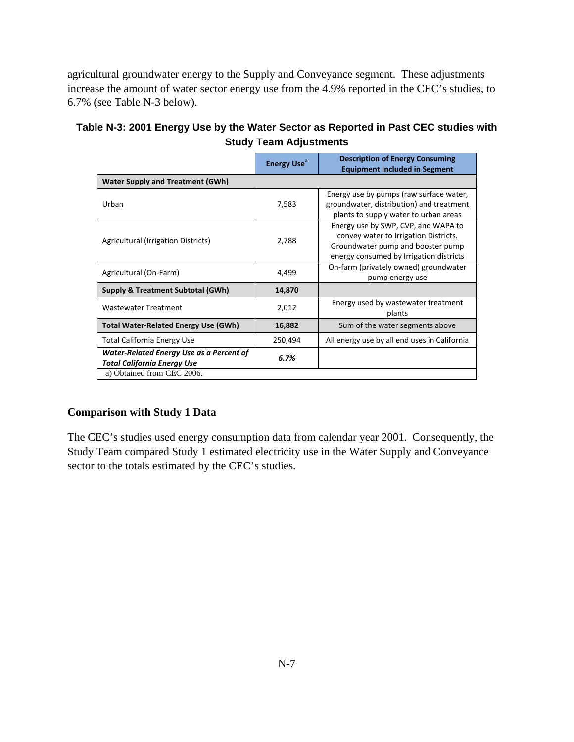agricultural groundwater energy to the Supply and Conveyance segment. These adjustments increase the amount of water sector energy use from the 4.9% reported in the CEC's studies, to 6.7% (see Table N-3 below).

| Table N-3: 2001 Energy Use by the Water Sector as Reported in Past CEC studies with |
|-------------------------------------------------------------------------------------|
| <b>Study Team Adjustments</b>                                                       |

|                                                                                | <b>Energy Use<sup>a</sup></b> | <b>Description of Energy Consuming</b><br><b>Equipment Included in Segment</b>                                                                               |
|--------------------------------------------------------------------------------|-------------------------------|--------------------------------------------------------------------------------------------------------------------------------------------------------------|
| <b>Water Supply and Treatment (GWh)</b>                                        |                               |                                                                                                                                                              |
| Urban                                                                          | 7,583                         | Energy use by pumps (raw surface water,<br>groundwater, distribution) and treatment<br>plants to supply water to urban areas                                 |
| Agricultural (Irrigation Districts)                                            | 2,788                         | Energy use by SWP, CVP, and WAPA to<br>convey water to Irrigation Districts.<br>Groundwater pump and booster pump<br>energy consumed by Irrigation districts |
| Agricultural (On-Farm)                                                         | 4,499                         | On-farm (privately owned) groundwater<br>pump energy use                                                                                                     |
| <b>Supply &amp; Treatment Subtotal (GWh)</b>                                   | 14,870                        |                                                                                                                                                              |
| <b>Wastewater Treatment</b>                                                    | 2,012                         | Energy used by wastewater treatment<br>plants                                                                                                                |
| <b>Total Water-Related Energy Use (GWh)</b>                                    | 16,882                        | Sum of the water segments above                                                                                                                              |
| <b>Total California Energy Use</b>                                             | 250,494                       | All energy use by all end uses in California                                                                                                                 |
| Water-Related Energy Use as a Percent of<br><b>Total California Energy Use</b> | 6.7%                          |                                                                                                                                                              |
| a) Obtained from CEC 2006.                                                     |                               |                                                                                                                                                              |

### **Comparison with Study 1 Data**

The CEC's studies used energy consumption data from calendar year 2001. Consequently, the Study Team compared Study 1 estimated electricity use in the Water Supply and Conveyance sector to the totals estimated by the CEC's studies.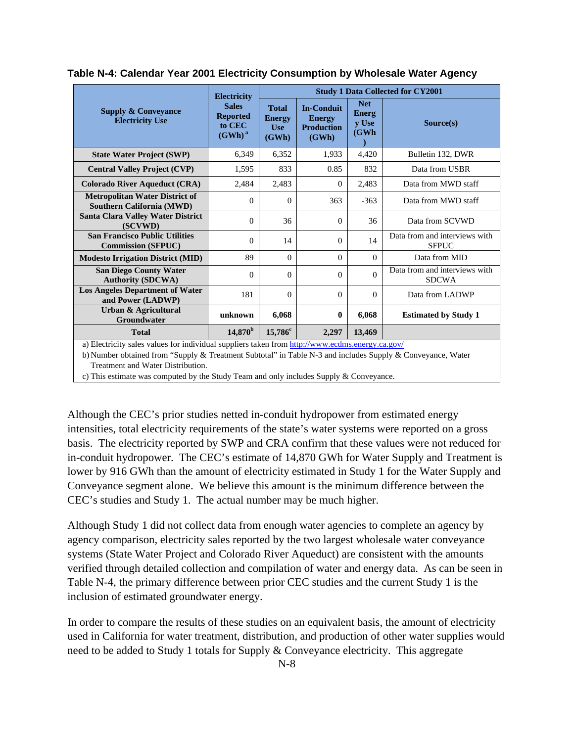|                                                                                                                    | <b>Electricity</b>                                     | <b>Study 1 Data Collected for CY2001</b>             |                                                                  |                                       |                                               |
|--------------------------------------------------------------------------------------------------------------------|--------------------------------------------------------|------------------------------------------------------|------------------------------------------------------------------|---------------------------------------|-----------------------------------------------|
| <b>Supply &amp; Conveyance</b><br><b>Electricity Use</b>                                                           | <b>Sales</b><br><b>Reported</b><br>to CEC<br>$(GWh)^a$ | <b>Total</b><br><b>Energy</b><br><b>Use</b><br>(GWh) | <b>In-Conduit</b><br><b>Energy</b><br><b>Production</b><br>(GWh) | <b>Net</b><br>Energ<br>y Use<br>(GWh) | Source(s)                                     |
| <b>State Water Project (SWP)</b>                                                                                   | 6,349                                                  | 6,352                                                | 1,933                                                            | 4,420                                 | Bulletin 132, DWR                             |
| <b>Central Valley Project (CVP)</b>                                                                                | 1,595                                                  | 833                                                  | 0.85                                                             | 832                                   | Data from USBR                                |
| <b>Colorado River Aqueduct (CRA)</b>                                                                               | 2,484                                                  | 2,483                                                | $\Omega$                                                         | 2,483                                 | Data from MWD staff                           |
| <b>Metropolitan Water District of</b><br><b>Southern California (MWD)</b>                                          | $\Omega$                                               | $\Omega$                                             | 363                                                              | $-363$                                | Data from MWD staff                           |
| <b>Santa Clara Valley Water District</b><br>(SCVWD)                                                                | $\Omega$                                               | 36                                                   | $\Omega$                                                         | 36                                    | Data from SCVWD                               |
| <b>San Francisco Public Utilities</b><br><b>Commission (SFPUC)</b>                                                 | $\Omega$                                               | 14                                                   | $\Omega$                                                         | 14                                    | Data from and interviews with<br><b>SFPUC</b> |
| <b>Modesto Irrigation District (MID)</b>                                                                           | 89                                                     | $\Omega$                                             | $\Omega$                                                         | $\theta$                              | Data from MID                                 |
| <b>San Diego County Water</b><br><b>Authority (SDCWA)</b>                                                          | $\Omega$                                               | $\theta$                                             | $\Omega$                                                         | $\Omega$                              | Data from and interviews with<br><b>SDCWA</b> |
| <b>Los Angeles Department of Water</b><br>and Power (LADWP)                                                        | 181                                                    | $\Omega$                                             | $\Omega$                                                         | $\Omega$                              | Data from LADWP                               |
| Urban & Agricultural<br>Groundwater                                                                                | unknown                                                | 6,068                                                | $\mathbf{0}$                                                     | 6,068                                 | <b>Estimated by Study 1</b>                   |
| <b>Total</b><br>a) Flashinka aslaa aslaas faatu dhiidhad aagaltaga higaa faran liha. <i>Isaa laas la</i> asaa asla | $14,870^{\rm b}$                                       | $15,786^c$                                           | 2,297                                                            | 13,469                                |                                               |

**Table N-4: Calendar Year 2001 Electricity Consumption by Wholesale Water Agency** 

a) Electricity sales values for individual suppliers taken from<http://www.ecdms.energy.ca.gov/>

b) Number obtained from "Supply & Treatment Subtotal" in Table N-3 and includes Supply & Conveyance, Water Treatment and Water Distribution.

c) This estimate was computed by the Study Team and only includes Supply & Conveyance.

Although the CEC's prior studies netted in-conduit hydropower from estimated energy intensities, total electricity requirements of the state's water systems were reported on a gross basis. The electricity reported by SWP and CRA confirm that these values were not reduced for in-conduit hydropower. The CEC's estimate of 14,870 GWh for Water Supply and Treatment is lower by 916 GWh than the amount of electricity estimated in Study 1 for the Water Supply and Conveyance segment alone. We believe this amount is the minimum difference between the CEC's studies and Study 1. The actual number may be much higher.

Although Study 1 did not collect data from enough water agencies to complete an agency by agency comparison, electricity sales reported by the two largest wholesale water conveyance systems (State Water Project and Colorado River Aqueduct) are consistent with the amounts verified through detailed collection and compilation of water and energy data. As can be seen in Table N-4, the primary difference between prior CEC studies and the current Study 1 is the inclusion of estimated groundwater energy.

In order to compare the results of these studies on an equivalent basis, the amount of electricity used in California for water treatment, distribution, and production of other water supplies would need to be added to Study 1 totals for Supply & Conveyance electricity. This aggregate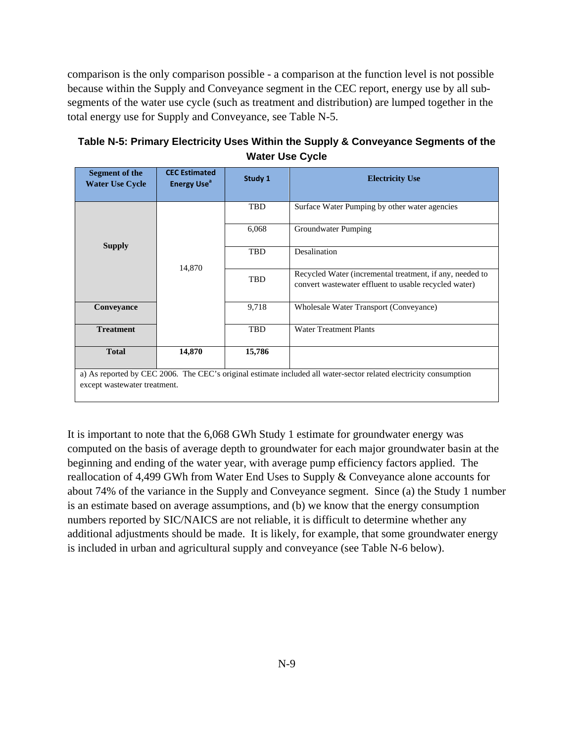comparison is the only comparison possible - a comparison at the function level is not possible because within the Supply and Conveyance segment in the CEC report, energy use by all subsegments of the water use cycle (such as treatment and distribution) are lumped together in the total energy use for Supply and Conveyance, see Table N-5.

| Table N-5: Primary Electricity Uses Within the Supply & Conveyance Segments of the |
|------------------------------------------------------------------------------------|
| <b>Water Use Cycle</b>                                                             |

| Segment of the<br><b>Water Use Cycle</b> | <b>CEC Estimated</b><br><b>Energy Use<sup>a</sup></b> | Study 1    | <b>Electricity Use</b>                                                                                             |
|------------------------------------------|-------------------------------------------------------|------------|--------------------------------------------------------------------------------------------------------------------|
|                                          |                                                       |            |                                                                                                                    |
|                                          | 14,870                                                | TBD        | Surface Water Pumping by other water agencies                                                                      |
|                                          |                                                       | 6,068      | Groundwater Pumping                                                                                                |
| <b>Supply</b>                            |                                                       | <b>TBD</b> | Desalination                                                                                                       |
|                                          |                                                       | TBD        | Recycled Water (incremental treatment, if any, needed to<br>convert was tewater effluent to usable recycled water) |
| Conveyance                               |                                                       | 9,718      | Wholesale Water Transport (Conveyance)                                                                             |
| <b>Treatment</b>                         |                                                       | TBD        | <b>Water Treatment Plants</b>                                                                                      |
| <b>Total</b>                             | 14,870                                                | 15,786     |                                                                                                                    |
|                                          |                                                       |            | a) As reported by CEC 2006. The CEC's original estimate included all water-sector related electricity consumption  |
| except wastewater treatment.             |                                                       |            |                                                                                                                    |

It is important to note that the 6,068 GWh Study 1 estimate for groundwater energy was computed on the basis of average depth to groundwater for each major groundwater basin at the beginning and ending of the water year, with average pump efficiency factors applied. The reallocation of 4,499 GWh from Water End Uses to Supply & Conveyance alone accounts for about 74% of the variance in the Supply and Conveyance segment. Since (a) the Study 1 number is an estimate based on average assumptions, and (b) we know that the energy consumption numbers reported by SIC/NAICS are not reliable, it is difficult to determine whether any additional adjustments should be made. It is likely, for example, that some groundwater energy is included in urban and agricultural supply and conveyance (see Table N-6 below).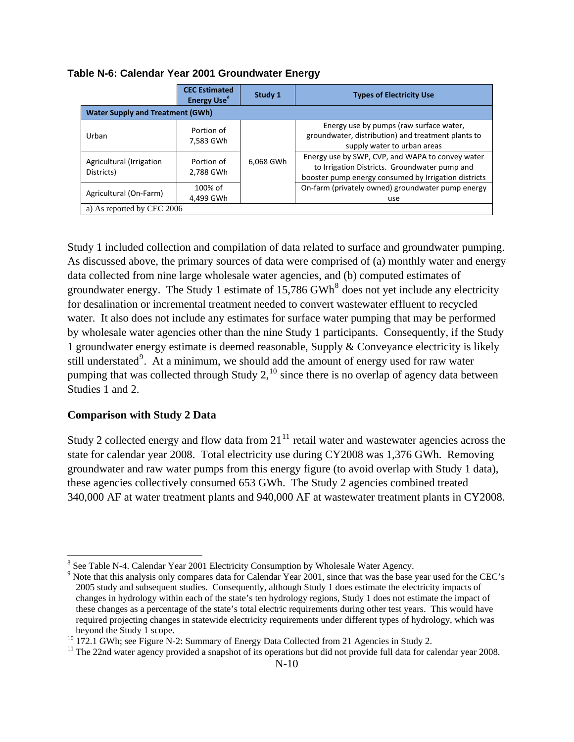|                                         | <b>CEC Estimated</b><br><b>Energy Use<sup>®</sup></b> | Study 1   | <b>Types of Electricity Use</b>                                                                                                                           |  |  |  |
|-----------------------------------------|-------------------------------------------------------|-----------|-----------------------------------------------------------------------------------------------------------------------------------------------------------|--|--|--|
| <b>Water Supply and Treatment (GWh)</b> |                                                       |           |                                                                                                                                                           |  |  |  |
| Urban                                   | Portion of<br>7,583 GWh                               |           | Energy use by pumps (raw surface water,<br>groundwater, distribution) and treatment plants to<br>supply water to urban areas                              |  |  |  |
| Agricultural (Irrigation<br>Districts)  | Portion of<br>2,788 GWh                               | 6,068 GWh | Energy use by SWP, CVP, and WAPA to convey water<br>to Irrigation Districts. Groundwater pump and<br>booster pump energy consumed by Irrigation districts |  |  |  |
| Agricultural (On-Farm)                  | 100% of<br>4,499 GWh                                  |           | On-farm (privately owned) groundwater pump energy<br>use                                                                                                  |  |  |  |
| a) As reported by CEC 2006              |                                                       |           |                                                                                                                                                           |  |  |  |

**Table N-6: Calendar Year 2001 Groundwater Energy** 

Study 1 included collection and compilation of data related to surface and groundwater pumping. As discussed above, the primary sources of data were comprised of (a) monthly water and energy data collected from nine large wholesale water agencies, and (b) computed estimates of groundwater energy. The Study 1 estimate of  $15,786$  $15,786$  $15,786$  GWh<sup>8</sup> does not yet include any electricity for desalination or incremental treatment needed to convert wastewater effluent to recycled water. It also does not include any estimates for surface water pumping that may be performed by wholesale water agencies other than the nine Study 1 participants. Consequently, if the Study 1 groundwater energy estimate is deemed reasonable, Supply & Conveyance electricity is likely still understated<sup>[9](#page-10-1)</sup>. At a minimum, we should add the amount of energy used for raw water pumping that was collected through Study  $2$ ,<sup>[10](#page-10-2)</sup> since there is no overlap of agency data between Studies 1 and 2.

#### **Comparison with Study 2 Data**

 $\overline{a}$ 

Study 2 collected energy and flow data from  $21<sup>11</sup>$  $21<sup>11</sup>$  $21<sup>11</sup>$  retail water and wastewater agencies across the state for calendar year 2008. Total electricity use during CY2008 was 1,376 GWh. Removing groundwater and raw water pumps from this energy figure (to avoid overlap with Study 1 data), these agencies collectively consumed 653 GWh. The Study 2 agencies combined treated 340,000 AF at water treatment plants and 940,000 AF at wastewater treatment plants in CY2008.

<span id="page-10-0"></span><sup>&</sup>lt;sup>8</sup> See Table N-4. Calendar Year 2001 Electricity Consumption by Wholesale Water Agency.

<span id="page-10-1"></span><sup>&</sup>lt;sup>9</sup> Note that this analysis only compares data for Calendar Year 2001, since that was the base year used for the CEC's 2005 study and subsequent studies. Consequently, although Study 1 does estimate the electricity impacts of changes in hydrology within each of the state's ten hydrology regions, Study 1 does not estimate the impact of these changes as a percentage of the state's total electric requirements during other test years. This would have required projecting changes in statewide electricity requirements under different types of hydrology, which was beyond the Study 1 scope.<br><sup>10</sup> 172.1 GWh; see Figure N-2: Summary of Energy Data Collected from 21 Agencies in Study 2.

<span id="page-10-2"></span>

<span id="page-10-3"></span><sup>&</sup>lt;sup>11</sup> The 22nd water agency provided a snapshot of its operations but did not provide full data for calendar year 2008.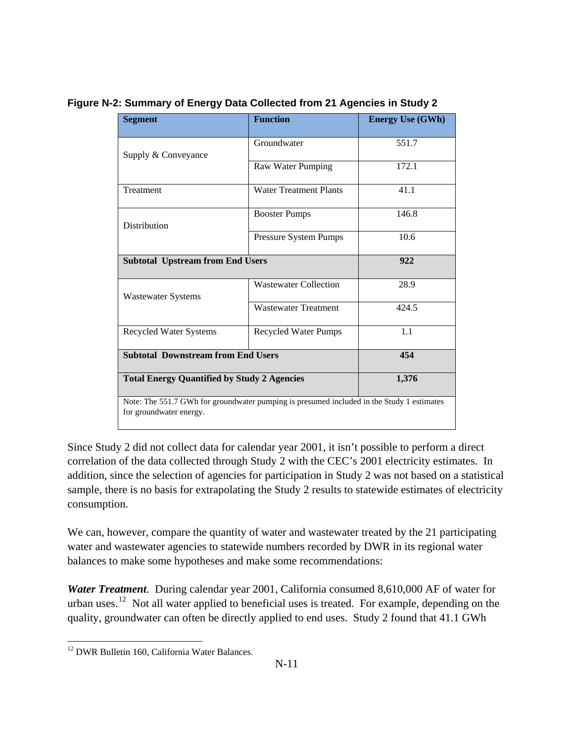| <b>Segment</b>                                                                                                       | <b>Function</b>               | <b>Energy Use (GWh)</b> |  |  |
|----------------------------------------------------------------------------------------------------------------------|-------------------------------|-------------------------|--|--|
| Supply & Conveyance                                                                                                  | Groundwater                   | 551.7                   |  |  |
|                                                                                                                      | Raw Water Pumping             | 172.1                   |  |  |
| Treatment                                                                                                            | <b>Water Treatment Plants</b> | 41.1                    |  |  |
| Distribution                                                                                                         | <b>Booster Pumps</b>          | 146.8                   |  |  |
|                                                                                                                      | Pressure System Pumps         | 10.6                    |  |  |
| <b>Subtotal Upstream from End Users</b>                                                                              |                               | 922                     |  |  |
| <b>Wastewater Systems</b>                                                                                            | <b>Wastewater Collection</b>  | 28.9                    |  |  |
|                                                                                                                      | <b>Wastewater Treatment</b>   | 424.5                   |  |  |
| <b>Recycled Water Systems</b>                                                                                        | <b>Recycled Water Pumps</b>   | 1.1                     |  |  |
| <b>Subtotal Downstream from End Users</b>                                                                            |                               | 454                     |  |  |
| <b>Total Energy Quantified by Study 2 Agencies</b>                                                                   |                               | 1,376                   |  |  |
| Note: The 551.7 GWh for groundwater pumping is presumed included in the Study 1 estimates<br>for groundwater energy. |                               |                         |  |  |

**Figure N-2: Summary of Energy Data Collected from 21 Agencies in Study 2** 

Since Study 2 did not collect data for calendar year 2001, it isn't possible to perform a direct correlation of the data collected through Study 2 with the CEC's 2001 electricity estimates. In addition, since the selection of agencies for participation in Study 2 was not based on a statistical sample, there is no basis for extrapolating the Study 2 results to statewide estimates of electricity consumption.

We can, however, compare the quantity of water and wastewater treated by the 21 participating water and wastewater agencies to statewide numbers recorded by DWR in its regional water balances to make some hypotheses and make some recommendations:

*Water Treatment*. During calendar year 2001, California consumed 8,610,000 AF of water for urban uses.<sup>[12](#page-11-0)</sup> Not all water applied to beneficial uses is treated. For example, depending on the quality, groundwater can often be directly applied to end uses. Study 2 found that 41.1 GWh

<span id="page-11-0"></span><sup>&</sup>lt;u>.</u> <sup>12</sup> DWR Bulletin 160, California Water Balances.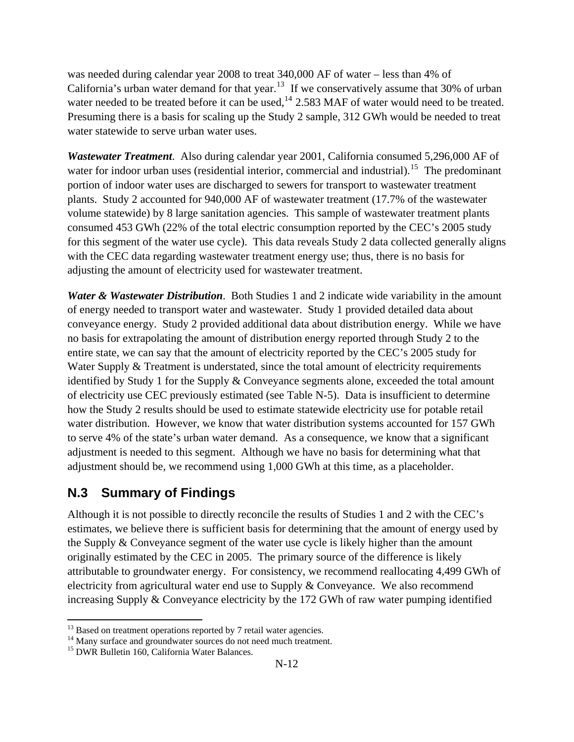was needed during calendar year 2008 to treat 340,000 AF of water – less than 4% of California's urban water demand for that year.<sup>[13](#page-12-0)</sup> If we conservatively assume that 30% of urban water needed to be treated before it can be used, $^{14}$  $^{14}$  $^{14}$  2.583 MAF of water would need to be treated. Presuming there is a basis for scaling up the Study 2 sample, 312 GWh would be needed to treat water statewide to serve urban water uses.

*Wastewater Treatment*. Also during calendar year 2001, California consumed 5,296,000 AF of water for indoor urban uses (residential interior, commercial and industrial).<sup>[15](#page-12-2)</sup> The predominant portion of indoor water uses are discharged to sewers for transport to wastewater treatment plants. Study 2 accounted for 940,000 AF of wastewater treatment (17.7% of the wastewater volume statewide) by 8 large sanitation agencies. This sample of wastewater treatment plants consumed 453 GWh (22% of the total electric consumption reported by the CEC's 2005 study for this segment of the water use cycle). This data reveals Study 2 data collected generally aligns with the CEC data regarding wastewater treatment energy use; thus, there is no basis for adjusting the amount of electricity used for wastewater treatment.

*Water & Wastewater Distribution*. Both Studies 1 and 2 indicate wide variability in the amount of energy needed to transport water and wastewater. Study 1 provided detailed data about conveyance energy. Study 2 provided additional data about distribution energy. While we have no basis for extrapolating the amount of distribution energy reported through Study 2 to the entire state, we can say that the amount of electricity reported by the CEC's 2005 study for Water Supply & Treatment is understated, since the total amount of electricity requirements identified by Study 1 for the Supply & Conveyance segments alone, exceeded the total amount of electricity use CEC previously estimated (see Table N-5). Data is insufficient to determine how the Study 2 results should be used to estimate statewide electricity use for potable retail water distribution. However, we know that water distribution systems accounted for 157 GWh to serve 4% of the state's urban water demand. As a consequence, we know that a significant adjustment is needed to this segment. Although we have no basis for determining what that adjustment should be, we recommend using 1,000 GWh at this time, as a placeholder.

### **N.3 Summary of Findings**

Although it is not possible to directly reconcile the results of Studies 1 and 2 with the CEC's estimates, we believe there is sufficient basis for determining that the amount of energy used by the Supply & Conveyance segment of the water use cycle is likely higher than the amount originally estimated by the CEC in 2005. The primary source of the difference is likely attributable to groundwater energy. For consistency, we recommend reallocating 4,499 GWh of electricity from agricultural water end use to Supply & Conveyance. We also recommend increasing Supply & Conveyance electricity by the 172 GWh of raw water pumping identified

 $\overline{a}$ 

<span id="page-12-0"></span> $13$  Based on treatment operations reported by 7 retail water agencies.

<span id="page-12-1"></span><sup>&</sup>lt;sup>14</sup> Many surface and groundwater sources do not need much treatment. <sup>15</sup> DWR Bulletin 160, California Water Balances.

<span id="page-12-2"></span>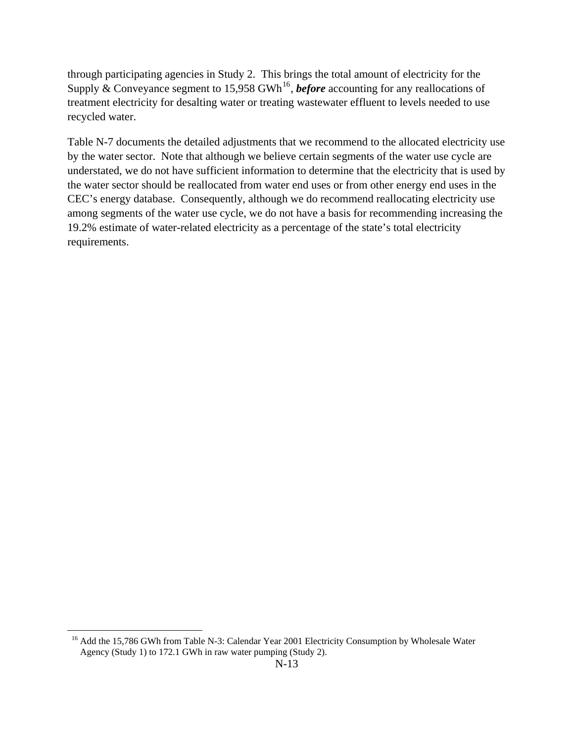through participating agencies in Study 2. This brings the total amount of electricity for the Supply & Conveyance segment to 15,958 GWh<sup>[16](#page-13-0)</sup>, *before* accounting for any reallocations of treatment electricity for desalting water or treating wastewater effluent to levels needed to use recycled water.

Table N-7 documents the detailed adjustments that we recommend to the allocated electricity use by the water sector. Note that although we believe certain segments of the water use cycle are understated, we do not have sufficient information to determine that the electricity that is used by the water sector should be reallocated from water end uses or from other energy end uses in the CEC's energy database. Consequently, although we do recommend reallocating electricity use among segments of the water use cycle, we do not have a basis for recommending increasing the 19.2% estimate of water-related electricity as a percentage of the state's total electricity requirements.

<span id="page-13-0"></span> $\overline{a}$ 

<sup>&</sup>lt;sup>16</sup> Add the 15,786 GWh from Table N-3: Calendar Year 2001 Electricity Consumption by Wholesale Water Agency (Study 1) to 172.1 GWh in raw water pumping (Study 2).